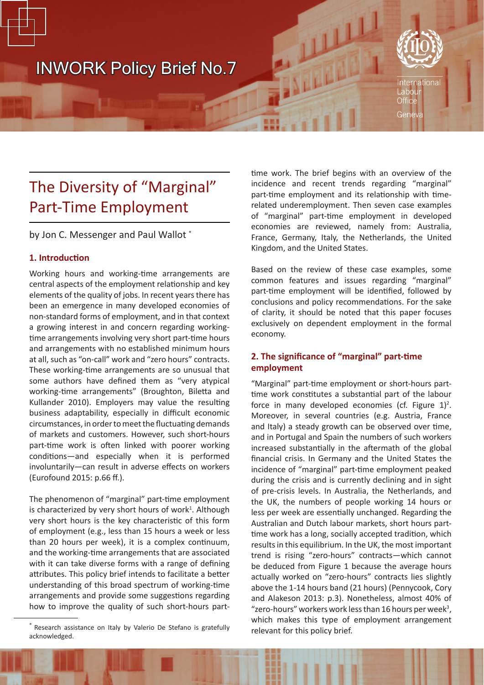# INWORK Policy Brief No.7



# The Diversity of "Marginal" Part-Time Employment

by Jon C. Messenger and Paul Wallot \*

# **1. Introduction**

Working hours and working-time arrangements are central aspects of the employment relationship and key elements of the quality of jobs. In recent years there has been an emergence in many developed economies of non-standard forms of employment, and in that context a growing interest in and concern regarding workingtime arrangements involving very short part-time hours and arrangements with no established minimum hours at all, such as "on-call" work and "zero hours" contracts. These working-time arrangements are so unusual that some authors have defined them as "very atypical working-time arrangements" (Broughton, Biletta and Kullander 2010). Employers may value the resulting business adaptability, especially in difficult economic circumstances, in order to meet the fluctuating demands of markets and customers. However, such short-hours part-time work is often linked with poorer working conditions—and especially when it is performed involuntarily—can result in adverse effects on workers (Eurofound 2015: p.66 ff.).

The phenomenon of "marginal" part-time employment is characterized by very short hours of work<sup>1</sup>. Although very short hours is the key characteristic of this form of employment (e.g., less than 15 hours a week or less than 20 hours per week), it is a complex continuum, and the working-time arrangements that are associated with it can take diverse forms with a range of defining attributes. This policy brief intends to facilitate a better understanding of this broad spectrum of working-time arrangements and provide some suggestions regarding how to improve the quality of such short-hours parttime work. The brief begins with an overview of the incidence and recent trends regarding "marginal" part-time employment and its relationship with timerelated underemployment. Then seven case examples of "marginal" part-time employment in developed economies are reviewed, namely from: Australia, France, Germany, Italy, the Netherlands, the United Kingdom, and the United States.

Based on the review of these case examples, some common features and issues regarding "marginal" part-time employment will be identified, followed by conclusions and policy recommendations. For the sake of clarity, it should be noted that this paper focuses exclusively on dependent employment in the formal economy.

# **2. The significance of "marginal" part-time employment**

"Marginal" part-time employment or short-hours parttime work constitutes a substantial part of the labour force in many developed economies (cf. Figure  $1$ )<sup>2</sup>. Moreover, in several countries (e.g. Austria, France and Italy) a steady growth can be observed over time, and in Portugal and Spain the numbers of such workers increased substantially in the aftermath of the global financial crisis. In Germany and the United States the incidence of "marginal" part-time employment peaked during the crisis and is currently declining and in sight of pre-crisis levels. In Australia, the Netherlands, and the UK, the numbers of people working 14 hours or less per week are essentially unchanged. Regarding the Australian and Dutch labour markets, short hours parttime work has a long, socially accepted tradition, which results in this equilibrium. In the UK, the most important trend is rising "zero-hours" contracts—which cannot be deduced from Figure 1 because the average hours actually worked on "zero-hours" contracts lies slightly above the 1-14 hours band (21 hours) (Pennycook, Cory and Alakeson 2013: p.3). Nonetheless, almost 40% of "zero-hours" workers work less than 16 hours per week<sup>3</sup>, which makes this type of employment arrangement

<sup>\*</sup> Research assistance on Italy by Valerio De Stefano is gratefully relevant for this policy brief. acknowledged.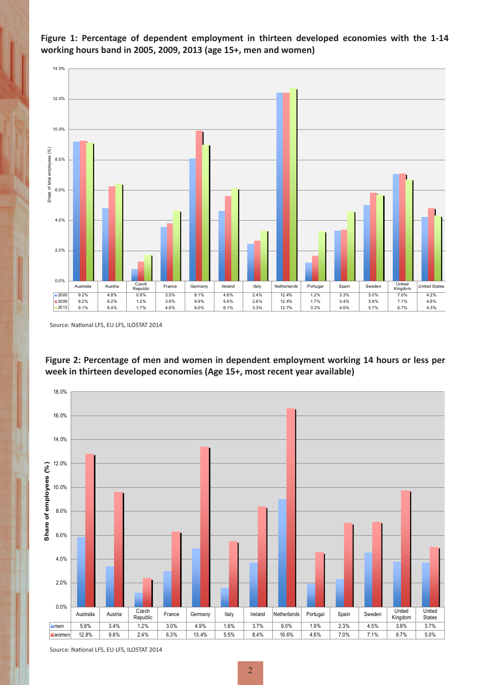

working hours band in 2005, 2009, 2013 (age 15+, men and women) **Figure 1: Percentage of dependent employment in thirteen developed economies with the 1-14** 

Source: National LFS, EU LFS, ILOSTAT 2014





Source: National LFS, EU LFS, ILOSTAT 2014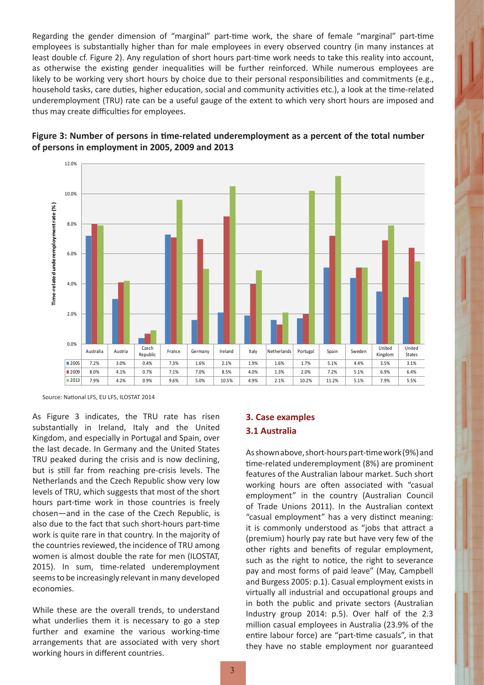Regarding the gender dimension of "marginal" part-time work, the share of female "marginal" part-time employees is substantially higher than for male employees in every observed country (in many instances at least double cf. Figure 2). Any regulation of short hours part-time work needs to take this reality into account, as otherwise the existing gender inequalities will be further reinforced. While numerous employees are likely to be working very short hours by choice due to their personal responsibilities and commitments (e.g., household tasks, care duties, higher education, social and community activities etc.), a look at the time-related underemployment (TRU) rate can be a useful gauge of the extent to which very short hours are imposed and thus may create difficulties for employees.





As Figure 3 indicates, the TRU rate has risen substantially in Ireland, Italy and the United Kingdom, and especially in Portugal and Spain, over the last decade. In Germany and the United States TRU peaked during the crisis and is now declining, but is still far from reaching pre-crisis levels. The Netherlands and the Czech Republic show very low levels of TRU, which suggests that most of the short hours part-time work in those countries is freely chosen—and in the case of the Czech Republic, is also due to the fact that such short-hours part-time work is quite rare in that country. In the majority of the countries reviewed, the incidence of TRU among women is almost double the rate for men (ILOSTAT, 2015). In sum, time-related underemployment seems to be increasingly relevant in many developed economies.

While these are the overall trends, to understand what underlies them it is necessary to go a step further and examine the various working-time arrangements that are associated with very short working hours in different countries.

# **3. Case examples 3.1 Australia**

As shown above, short-hours part-time work (9%) and time-related underemployment (8%) are prominent features of the Australian labour market. Such short working hours are often associated with "casual employment" in the country (Australian Council of Trade Unions 2011). In the Australian context "casual employment" has a very distinct meaning: it is commonly understood as "jobs that attract a (premium) hourly pay rate but have very few of the other rights and benefits of regular employment, such as the right to notice, the right to severance pay and most forms of paid leave" (May, Campbell and Burgess 2005: p.1). Casual employment exists in virtually all industrial and occupational groups and in both the public and private sectors (Australian Industry group 2014: p.5). Over half of the 2.3 million casual employees in Australia (23.9% of the entire labour force) are "part-time casuals", in that they have no stable employment nor guaranteed

Source: National LFS, EU LFS, ILOSTAT 2014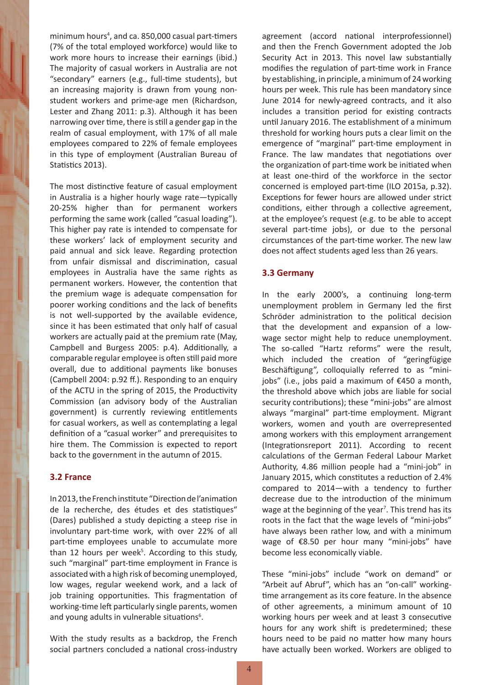minimum hours<sup>4</sup>, and ca. 850,000 casual part-timers (7% of the total employed workforce) would like to work more hours to increase their earnings (ibid.) The majority of casual workers in Australia are not "secondary" earners (e.g., full-time students), but an increasing majority is drawn from young nonstudent workers and prime-age men (Richardson, Lester and Zhang 2011: p.3). Although it has been narrowing over time, there is still a gender gap in the realm of casual employment, with 17% of all male employees compared to 22% of female employees in this type of employment (Australian Bureau of Statistics 2013).

The most distinctive feature of casual employment in Australia is a higher hourly wage rate—typically 20-25% higher than for permanent workers performing the same work (called "casual loading"). This higher pay rate is intended to compensate for these workers' lack of employment security and paid annual and sick leave. Regarding protection from unfair dismissal and discrimination, casual employees in Australia have the same rights as permanent workers. However, the contention that the premium wage is adequate compensation for poorer working conditions and the lack of benefits is not well-supported by the available evidence, since it has been estimated that only half of casual workers are actually paid at the premium rate (May, Campbell and Burgess 2005: p.4). Additionally, a comparable regular employee is often still paid more overall, due to additional payments like bonuses (Campbell 2004: p.92 ff.). Responding to an enquiry of the ACTU in the spring of 2015, the Productivity Commission (an advisory body of the Australian government) is currently reviewing entitlements for casual workers, as well as contemplating a legal definition of a "casual worker" and prerequisites to hire them. The Commission is expected to report back to the government in the autumn of 2015.

### **3.2 France**

In 2013, the French institute "Direction de l'animation de la recherche, des études et des statistiques" (Dares) published a study depicting a steep rise in involuntary part-time work, with over 22% of all part-time employees unable to accumulate more than 12 hours per week<sup>5</sup>. According to this study, such "marginal" part-time employment in France is associated with a high risk of becoming unemployed, low wages, regular weekend work, and a lack of job training opportunities. This fragmentation of working-time left particularly single parents, women and young adults in vulnerable situations<sup>6</sup>.

With the study results as a backdrop, the French social partners concluded a national cross-industry agreement (accord national interprofessionnel) and then the French Government adopted the Job Security Act in 2013. This novel law substantially modifies the regulation of part-time work in France by establishing, in principle, a minimum of 24 working hours per week. This rule has been mandatory since June 2014 for newly-agreed contracts, and it also includes a transition period for existing contracts until January 2016. The establishment of a minimum threshold for working hours puts a clear limit on the emergence of "marginal" part-time employment in France. The law mandates that negotiations over the organization of part-time work be initiated when at least one-third of the workforce in the sector concerned is employed part-time (ILO 2015a, p.32). Exceptions for fewer hours are allowed under strict conditions, either through a collective agreement, at the employee's request (e.g. to be able to accept several part-time jobs), or due to the personal circumstances of the part-time worker. The new law does not affect students aged less than 26 years.

### **3.3 Germany**

In the early 2000's, a continuing long-term unemployment problem in Germany led the first Schröder administration to the political decision that the development and expansion of a lowwage sector might help to reduce unemployment. The so-called "Hartz reforms" were the result, which included the creation of "geringfügige Beschäftigung", colloquially referred to as "minijobs" (i.e., jobs paid a maximum of €450 a month, the threshold above which jobs are liable for social security contributions); these "mini-jobs" are almost always "marginal" part-time employment. Migrant workers, women and youth are overrepresented among workers with this employment arrangement (Integrationsreport 2011). According to recent calculations of the German Federal Labour Market Authority, 4.86 million people had a "mini-job" in January 2015, which constitutes a reduction of 2.4% compared to 2014—with a tendency to further decrease due to the introduction of the minimum wage at the beginning of the year<sup>7</sup>. This trend has its roots in the fact that the wage levels of "mini-jobs" have always been rather low, and with a minimum wage of €8.50 per hour many "mini-jobs" have become less economically viable.

These "mini-jobs" include "work on demand" or "Arbeit auf Abruf", which has an "on-call" workingtime arrangement as its core feature. In the absence of other agreements, a minimum amount of 10 working hours per week and at least 3 consecutive hours for any work shift is predetermined; these hours need to be paid no matter how many hours have actually been worked. Workers are obliged to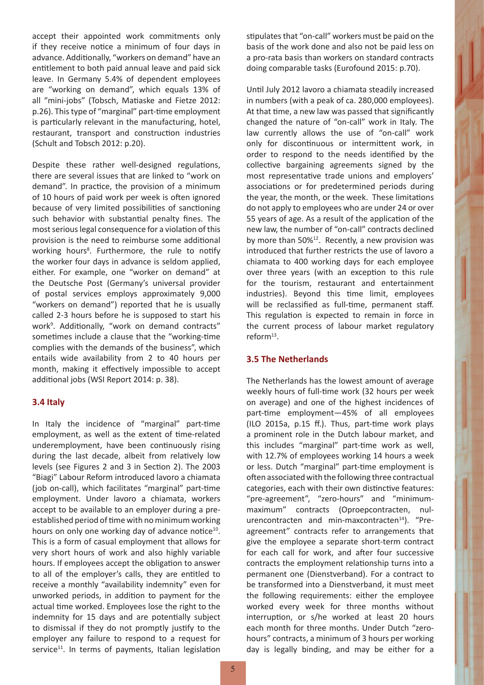accept their appointed work commitments only if they receive notice a minimum of four days in advance. Additionally, "workers on demand" have an entitlement to both paid annual leave and paid sick leave. In Germany 5.4% of dependent employees are "working on demand", which equals 13% of all "mini-jobs" (Tobsch, Matiaske and Fietze 2012: p.26). This type of "marginal" part-time employment is particularly relevant in the manufacturing, hotel, restaurant, transport and construction industries (Schult and Tobsch 2012: p.20).

Despite these rather well-designed regulations, there are several issues that are linked to "work on demand". In practice, the provision of a minimum of 10 hours of paid work per week is often ignored because of very limited possibilities of sanctioning such behavior with substantial penalty fines. The most serious legal consequence for a violation of this provision is the need to reimburse some additional working hours<sup>8</sup>. Furthermore, the rule to notify the worker four days in advance is seldom applied, either. For example, one "worker on demand" at the Deutsche Post (Germany's universal provider of postal services employs approximately 9,000 "workers on demand") reported that he is usually called 2-3 hours before he is supposed to start his work<sup>9</sup> . Additionally, "work on demand contracts" sometimes include a clause that the "working-time complies with the demands of the business", which entails wide availability from 2 to 40 hours per month, making it effectively impossible to accept additional jobs (WSI Report 2014: p. 38).

## **3.4 Italy**

In Italy the incidence of "marginal" part-time employment, as well as the extent of time-related underemployment, have been continuously rising during the last decade, albeit from relatively low levels (see Figures 2 and 3 in Section 2). The 2003 "Biagi" Labour Reform introduced lavoro a chiamata (job on-call), which facilitates "marginal" part-time employment. Under lavoro a chiamata, workers accept to be available to an employer during a preestablished period of time with no minimum working hours on only one working day of advance notice $10$ . This is a form of casual employment that allows for very short hours of work and also highly variable hours. If employees accept the obligation to answer to all of the employer's calls, they are entitled to receive a monthly "availability indemnity" even for unworked periods, in addition to payment for the actual time worked. Employees lose the right to the indemnity for 15 days and are potentially subject to dismissal if they do not promptly justify to the employer any failure to respond to a request for service<sup>11</sup>. In terms of payments, Italian legislation stipulates that "on-call" workers must be paid on the basis of the work done and also not be paid less on a pro-rata basis than workers on standard contracts doing comparable tasks (Eurofound 2015: p.70).

Until July 2012 lavoro a chiamata steadily increased in numbers (with a peak of ca. 280,000 employees). At that time, a new law was passed that significantly changed the nature of "on-call" work in Italy. The law currently allows the use of "on-call" work only for discontinuous or intermittent work, in order to respond to the needs identified by the collective bargaining agreements signed by the most representative trade unions and employers' associations or for predetermined periods during the year, the month, or the week. These limitations do not apply to employees who are under 24 or over 55 years of age. As a result of the application of the new law, the number of "on-call" contracts declined by more than  $50\%$ <sup>12</sup>. Recently, a new provision was introduced that further restricts the use of lavoro a chiamata to 400 working days for each employee over three years (with an exception to this rule for the tourism, restaurant and entertainment industries). Beyond this time limit, employees will be reclassified as full-time, permanent staff. This regulation is expected to remain in force in the current process of labour market regulatory reform<sup>13</sup>.

## **3.5 The Netherlands**

The Netherlands has the lowest amount of average weekly hours of full-time work (32 hours per week on average) and one of the highest incidences of part-time employment—45% of all employees (ILO 2015a, p.15 ff.). Thus, part-time work plays a prominent role in the Dutch labour market, and this includes "marginal" part-time work as well, with 12.7% of employees working 14 hours a week or less. Dutch "marginal" part-time employment is often associated with the following three contractual categories, each with their own distinctive features: "pre-agreement", "zero-hours" and "minimummaximum" contracts (Oproepcontracten, nulurencontracten and min-maxcontracten<sup>14</sup>). "Preagreement" contracts refer to arrangements that give the employee a separate short-term contract for each call for work, and after four successive contracts the employment relationship turns into a permanent one (Dienstverband). For a contract to be transformed into a Dienstverband, it must meet the following requirements: either the employee worked every week for three months without interruption, or s/he worked at least 20 hours each month for three months. Under Dutch "zerohours" contracts, a minimum of 3 hours per working day is legally binding, and may be either for a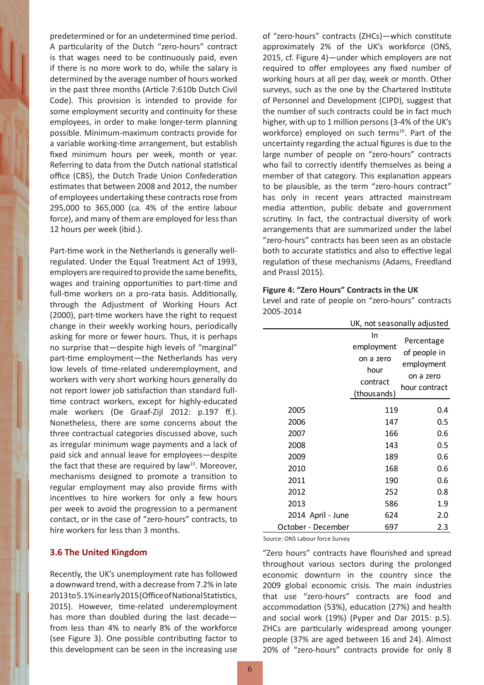predetermined or for an undetermined time period. A particularity of the Dutch "zero-hours" contract is that wages need to be continuously paid, even if there is no more work to do, while the salary is determined by the average number of hours worked in the past three months (Article 7:610b Dutch Civil Code). This provision is intended to provide for some employment security and continuity for these employees, in order to make longer-term planning possible. Minimum-maximum contracts provide for a variable working-time arrangement, but establish fixed minimum hours per week, month or year. Referring to data from the Dutch national statistical office (CBS), the Dutch Trade Union Confederation estimates that between 2008 and 2012, the number of employees undertaking these contracts rose from 295,000 to 365,000 (ca. 4% of the entire labour force), and many of them are employed for less than 12 hours per week (ibid.).

Part-time work in the Netherlands is generally wellregulated. Under the Equal Treatment Act of 1993, employers are required to provide the same benefits, wages and training opportunities to part-time and full-time workers on a pro-rata basis. Additionally, through the Adjustment of Working Hours Act (2000), part-time workers have the right to request change in their weekly working hours, periodically asking for more or fewer hours. Thus, it is perhaps no surprise that—despite high levels of "marginal" part-time employment—the Netherlands has very low levels of time-related underemployment, and workers with very short working hours generally do not report lower job satisfaction than standard fulltime contract workers, except for highly-educated male workers (De Graaf-Zijl 2012: p.197 ff.). Nonetheless, there are some concerns about the three contractual categories discussed above, such as irregular minimum wage payments and a lack of paid sick and annual leave for employees—despite the fact that these are required by law<sup>15</sup>. Moreover, mechanisms designed to promote a transition to regular employment may also provide firms with incentives to hire workers for only a few hours per week to avoid the progression to a permanent contact, or in the case of "zero-hours" contracts, to hire workers for less than 3 months.

### **3.6 The United Kingdom**

Recently, the UK's unemployment rate has followed a downward trend, with a decrease from 7.2% in late 2013 to 5.1% in early 2015 (Office of National Statistics, 2015). However, time-related underemployment has more than doubled during the last decade from less than 4% to nearly 8% of the workforce (see Figure 3). One possible contributing factor to this development can be seen in the increasing use

of "zero-hours" contracts (ZHCs)—which constitute approximately 2% of the UK's workforce (ONS, 2015, cf. Figure 4)—under which employers are not required to offer employees any fixed number of working hours at all per day, week or month. Other surveys, such as the one by the Chartered Institute of Personnel and Development (CIPD), suggest that the number of such contracts could be in fact much higher, with up to 1 million persons (3-4% of the UK's workforce) employed on such terms<sup>16</sup>. Part of the uncertainty regarding the actual figures is due to the large number of people on "zero-hours" contracts who fail to correctly identify themselves as being a member of that category. This explanation appears to be plausible, as the term "zero-hours contract" has only in recent years attracted mainstream media attention, public debate and government scrutiny. In fact, the contractual diversity of work arrangements that are summarized under the label "zero-hours" contracts has been seen as an obstacle both to accurate statistics and also to effective legal regulation of these mechanisms (Adams, Freedland and Prassl 2015).

#### **Figure 4: "Zero Hours" Contracts in the UK**

Level and rate of people on "zero-hours" contracts 2005-2014

|                    | UK, not seasonally adjusted                                      |                                                                        |
|--------------------|------------------------------------------------------------------|------------------------------------------------------------------------|
|                    | In<br>employment<br>on a zero<br>hour<br>contract<br>(thousands) | Percentage<br>of people in<br>employment<br>on a zero<br>hour contract |
| 2005               | 119                                                              | 0.4                                                                    |
| 2006               | 147                                                              | 0.5                                                                    |
| 2007               | 166                                                              | 0.6                                                                    |
| 2008               | 143                                                              | 0.5                                                                    |
| 2009               | 189                                                              | 0.6                                                                    |
| 2010               | 168                                                              | 0.6                                                                    |
| 2011               | 190                                                              | 0.6                                                                    |
| 2012               | 252                                                              | 0.8                                                                    |
| 2013               | 586                                                              | 1.9                                                                    |
| 2014 April - June  | 624                                                              | 2.0                                                                    |
| October - December | 697                                                              | 2.3                                                                    |

Source: ONS Labour force Survey

"Zero hours" contracts have flourished and spread throughout various sectors during the prolonged economic downturn in the country since the 2009 global economic crisis. The main industries that use "zero-hours" contracts are food and accommodation (53%), education (27%) and health and social work (19%) (Pyper and Dar 2015: p.5). ZHCs are particularly widespread among younger people (37% are aged between 16 and 24). Almost 20% of "zero-hours" contracts provide for only 8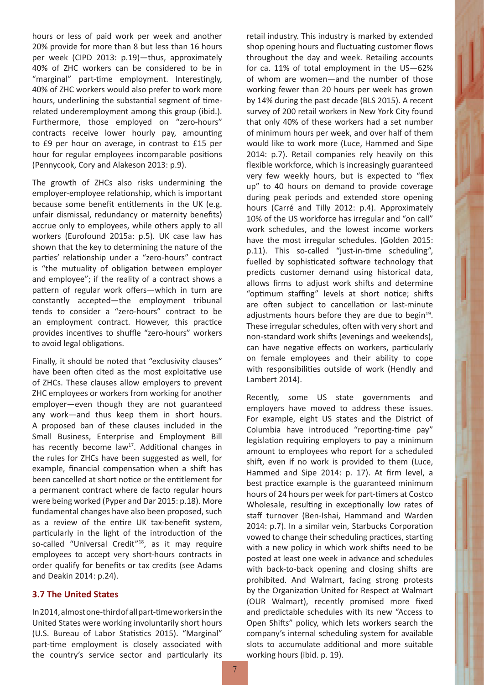hours or less of paid work per week and another 20% provide for more than 8 but less than 16 hours per week (CIPD 2013: p.19)—thus, approximately 40% of ZHC workers can be considered to be in "marginal" part-time employment. Interestingly, 40% of ZHC workers would also prefer to work more hours, underlining the substantial segment of timerelated underemployment among this group (ibid.). Furthermore, those employed on "zero-hours" contracts receive lower hourly pay, amounting to £9 per hour on average, in contrast to £15 per hour for regular employees incomparable positions (Pennycook, Cory and Alakeson 2013: p.9).

The growth of ZHCs also risks undermining the employer-employee relationship, which is important because some benefit entitlements in the UK (e.g. unfair dismissal, redundancy or maternity benefits) accrue only to employees, while others apply to all workers (Eurofound 2015a: p.5). UK case law has shown that the key to determining the nature of the parties' relationship under a "zero-hours" contract is "the mutuality of obligation between employer and employee"; if the reality of a contract shows a pattern of regular work offers—which in turn are constantly accepted—the employment tribunal tends to consider a "zero-hours" contract to be an employment contract. However, this practice provides incentives to shuffle "zero-hours" workers to avoid legal obligations.

Finally, it should be noted that "exclusivity clauses" have been often cited as the most exploitative use of ZHCs. These clauses allow employers to prevent ZHC employees or workers from working for another employer—even though they are not guaranteed any work—and thus keep them in short hours. A proposed ban of these clauses included in the Small Business, Enterprise and Employment Bill has recently become law<sup>17</sup>. Additional changes in the rules for ZHCs have been suggested as well, for example, financial compensation when a shift has been cancelled at short notice or the entitlement for a permanent contract where de facto regular hours were being worked (Pyper and Dar 2015: p.18). More fundamental changes have also been proposed, such as a review of the entire UK tax-benefit system, particularly in the light of the introduction of the so-called "Universal Credit"<sup>18</sup>, as it may require employees to accept very short-hours contracts in order qualify for benefits or tax credits (see Adams and Deakin 2014: p.24).

## **3.7 The United States**

In 2014, almost one-third of all part-time workers in the United States were working involuntarily short hours (U.S. Bureau of Labor Statistics 2015). "Marginal" part-time employment is closely associated with the country's service sector and particularly its

retail industry. This industry is marked by extended shop opening hours and fluctuating customer flows throughout the day and week. Retailing accounts for ca. 11% of total employment in the US—62% of whom are women—and the number of those working fewer than 20 hours per week has grown by 14% during the past decade (BLS 2015). A recent survey of 200 retail workers in New York City found that only 40% of these workers had a set number of minimum hours per week, and over half of them would like to work more (Luce, Hammed and Sipe 2014: p.7). Retail companies rely heavily on this flexible workforce, which is increasingly guaranteed very few weekly hours, but is expected to "flex up" to 40 hours on demand to provide coverage during peak periods and extended store opening hours (Carré and Tilly 2012: p.4). Approximately 10% of the US workforce has irregular and "on call" work schedules, and the lowest income workers have the most irregular schedules. (Golden 2015: p.11). This so-called "just-in-time scheduling", fuelled by sophisticated software technology that predicts customer demand using historical data, allows firms to adjust work shifts and determine "optimum staffing" levels at short notice; shifts are often subject to cancellation or last-minute adjustments hours before they are due to begin<sup>19</sup>. These irregular schedules, often with very short and non-standard work shifts (evenings and weekends), can have negative effects on workers, particularly on female employees and their ability to cope with responsibilities outside of work (Hendly and Lambert 2014).

Recently, some US state governments and employers have moved to address these issues. For example, eight US states and the District of Columbia have introduced "reporting-time pay" legislation requiring employers to pay a minimum amount to employees who report for a scheduled shift, even if no work is provided to them (Luce, Hammed and Sipe 2014: p. 17). At firm level, a best practice example is the guaranteed minimum hours of 24 hours per week for part-timers at Costco Wholesale, resulting in exceptionally low rates of staff turnover (Ben-Ishai, Hammand and Warden 2014: p.7). In a similar vein, Starbucks Corporation vowed to change their scheduling practices, starting with a new policy in which work shifts need to be posted at least one week in advance and schedules with back-to-back opening and closing shifts are prohibited. And Walmart, facing strong protests by the Organization United for Respect at Walmart (OUR Walmart), recently promised more fixed and predictable schedules with its new "Access to Open Shifts" policy, which lets workers search the company's internal scheduling system for available slots to accumulate additional and more suitable working hours (ibid. p. 19).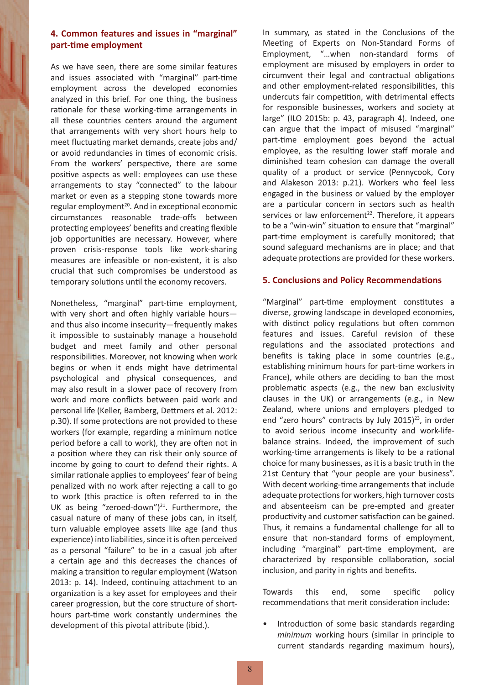## **4. Common features and issues in "marginal" part-time employment**

As we have seen, there are some similar features and issues associated with "marginal" part-time employment across the developed economies analyzed in this brief. For one thing, the business rationale for these working-time arrangements in all these countries centers around the argument that arrangements with very short hours help to meet fluctuating market demands, create jobs and/ or avoid redundancies in times of economic crisis. From the workers' perspective, there are some positive aspects as well: employees can use these arrangements to stay "connected" to the labour market or even as a stepping stone towards more regular employment $20$ . And in exceptional economic circumstances reasonable trade-offs between protecting employees' benefits and creating flexible job opportunities are necessary. However, where proven crisis-response tools like work-sharing measures are infeasible or non-existent, it is also crucial that such compromises be understood as temporary solutions until the economy recovers.

Nonetheless, "marginal" part-time employment, with very short and often highly variable hours and thus also income insecurity—frequently makes it impossible to sustainably manage a household budget and meet family and other personal responsibilities. Moreover, not knowing when work begins or when it ends might have detrimental psychological and physical consequences, and may also result in a slower pace of recovery from work and more conflicts between paid work and personal life (Keller, Bamberg, Dettmers et al. 2012: p.30). If some protections are not provided to these workers (for example, regarding a minimum notice period before a call to work), they are often not in a position where they can risk their only source of income by going to court to defend their rights. A similar rationale applies to employees' fear of being penalized with no work after rejecting a call to go to work (this practice is often referred to in the UK as being "zeroed-down") $^{21}$ . Furthermore, the casual nature of many of these jobs can, in itself, turn valuable employee assets like age (and thus experience) into liabilities, since it is often perceived as a personal "failure" to be in a casual job after a certain age and this decreases the chances of making a transition to regular employment (Watson 2013: p. 14). Indeed, continuing attachment to an organization is a key asset for employees and their career progression, but the core structure of shorthours part-time work constantly undermines the development of this pivotal attribute (ibid.).

In summary, as stated in the Conclusions of the Meeting of Experts on Non-Standard Forms of Employment, "…when non-standard forms of employment are misused by employers in order to circumvent their legal and contractual obligations and other employment-related responsibilities, this undercuts fair competition, with detrimental effects for responsible businesses, workers and society at large" (ILO 2015b: p. 43, paragraph 4). Indeed, one can argue that the impact of misused "marginal" part-time employment goes beyond the actual employee, as the resulting lower staff morale and diminished team cohesion can damage the overall quality of a product or service (Pennycook, Cory and Alakeson 2013: p.21). Workers who feel less engaged in the business or valued by the employer are a particular concern in sectors such as health services or law enforcement<sup>22</sup>. Therefore, it appears to be a "win-win" situation to ensure that "marginal" part-time employment is carefully monitored; that sound safeguard mechanisms are in place; and that adequate protections are provided for these workers.

### **5. Conclusions and Policy Recommendations**

"Marginal" part-time employment constitutes a diverse, growing landscape in developed economies, with distinct policy regulations but often common features and issues. Careful revision of these regulations and the associated protections and benefits is taking place in some countries (e.g., establishing minimum hours for part-time workers in France), while others are deciding to ban the most problematic aspects (e.g., the new ban exclusivity clauses in the UK) or arrangements (e.g., in New Zealand, where unions and employers pledged to end "zero hours" contracts by July 2015) $^{23}$ , in order to avoid serious income insecurity and work-lifebalance strains. Indeed, the improvement of such working-time arrangements is likely to be a rational choice for many businesses, as it is a basic truth in the 21st Century that "your people are your business". With decent working-time arrangements that include adequate protections for workers, high turnover costs and absenteeism can be pre-empted and greater productivity and customer satisfaction can be gained. Thus, it remains a fundamental challenge for all to ensure that non-standard forms of employment, including "marginal" part-time employment, are characterized by responsible collaboration, social inclusion, and parity in rights and benefits.

Towards this end, some specific policy recommendations that merit consideration include:

Introduction of some basic standards regarding *minimum* working hours (similar in principle to current standards regarding maximum hours),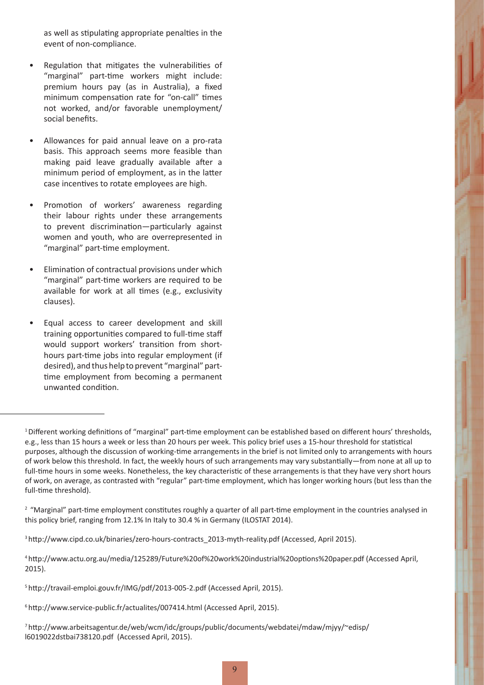as well as stipulating appropriate penalties in the event of non-compliance.

- Regulation that mitigates the vulnerabilities of "marginal" part-time workers might include: premium hours pay (as in Australia), a fixed minimum compensation rate for "on-call" times not worked, and/or favorable unemployment/ social benefits.
- Allowances for paid annual leave on a pro-rata basis. This approach seems more feasible than making paid leave gradually available after a minimum period of employment, as in the latter case incentives to rotate employees are high.
- Promotion of workers' awareness regarding their labour rights under these arrangements to prevent discrimination—particularly against women and youth, who are overrepresented in "marginal" part-time employment.
- Elimination of contractual provisions under which "marginal" part-time workers are required to be available for work at all times (e.g., exclusivity clauses).
- Equal access to career development and skill training opportunities compared to full-time staff would support workers' transition from shorthours part-time jobs into regular employment (if desired), and thus help to prevent "marginal" parttime employment from becoming a permanent unwanted condition.

6 http://www.service-public.fr/actualites/007414.html (Accessed April, 2015).

<sup>1</sup> Different working definitions of "marginal" part-time employment can be established based on different hours' thresholds, e.g., less than 15 hours a week or less than 20 hours per week. This policy brief uses a 15-hour threshold for statistical purposes, although the discussion of working-time arrangements in the brief is not limited only to arrangements with hours of work below this threshold. In fact, the weekly hours of such arrangements may vary substantially—from none at all up to full-time hours in some weeks. Nonetheless, the key characteristic of these arrangements is that they have very short hours of work, on average, as contrasted with "regular" part-time employment, which has longer working hours (but less than the full-time threshold).

<sup>&</sup>lt;sup>2</sup> "Marginal" part-time employment constitutes roughly a quarter of all part-time employment in the countries analysed in this policy brief, ranging from 12.1% In Italy to 30.4 % in Germany (ILOSTAT 2014).

<sup>&</sup>lt;sup>3</sup> http://www.cipd.co.uk/binaries/zero-hours-contracts\_2013-myth-reality.pdf (Accessed, April 2015).

<sup>4</sup> http://www.actu.org.au/media/125289/Future%20of%20work%20industrial%20options%20paper.pdf (Accessed April, 2015).

<sup>5</sup> http://travail-emploi.gouv.fr/IMG/pdf/2013-005-2.pdf (Accessed April, 2015).

<sup>7</sup>http://www.arbeitsagentur.de/web/wcm/idc/groups/public/documents/webdatei/mdaw/mjyy/~edisp/ l6019022dstbai738120.pdf (Accessed April, 2015).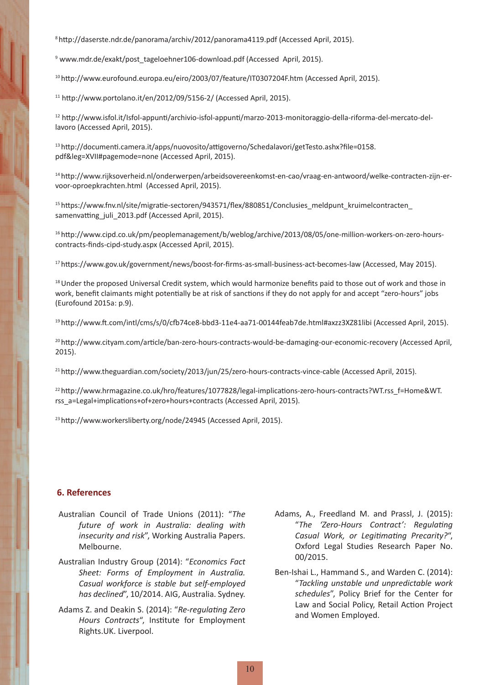<sup>8</sup>http://daserste.ndr.de/panorama/archiv/2012/panorama4119.pdf (Accessed April, 2015).

9 www.mdr.de/exakt/post\_tageloehner106-download.pdf (Accessed April, 2015).

10 http://www.eurofound.europa.eu/eiro/2003/07/feature/IT0307204F.htm (Accessed April, 2015).

 $11$  http://www.portolano.it/en/2012/09/5156-2/ (Accessed April, 2015).

12 http://www.isfol.it/Isfol-appunti/archivio-isfol-appunti/marzo-2013-monitoraggio-della-riforma-del-mercato-dellavoro (Accessed April, 2015).

13 http://documenti.camera.it/apps/nuovosito/attigoverno/Schedalavori/getTesto.ashx?file=0158. pdf&leg=XVII#pagemode=none (Accessed April, 2015).

14 http://www.rijksoverheid.nl/onderwerpen/arbeidsovereenkomst-en-cao/vraag-en-antwoord/welke-contracten-zijn-ervoor-oproepkrachten.html (Accessed April, 2015).

<sup>15</sup> https://www.fnv.nl/site/migratie-sectoren/943571/flex/880851/Conclusies\_meldpunt\_kruimelcontracten samenvatting juli 2013.pdf (Accessed April, 2015).

16 http://www.cipd.co.uk/pm/peoplemanagement/b/weblog/archive/2013/08/05/one-million-workers-on-zero-hourscontracts-finds-cipd-study.aspx (Accessed April, 2015).

17 https://www.gov.uk/government/news/boost-for-firms-as-small-business-act-becomes-law (Accessed, May 2015).

<sup>18</sup> Under the proposed Universal Credit system, which would harmonize benefits paid to those out of work and those in work, benefit claimants might potentially be at risk of sanctions if they do not apply for and accept "zero-hours" jobs (Eurofound 2015a: p.9).

19 http://www.ft.com/intl/cms/s/0/cfb74ce8-bbd3-11e4-aa71-00144feab7de.html#axzz3XZ81libi (Accessed April, 2015).

20 http://www.cityam.com/article/ban-zero-hours-contracts-would-be-damaging-our-economic-recovery (Accessed April, 2015).

21 http://www.theguardian.com/society/2013/jun/25/zero-hours-contracts-vince-cable (Accessed April, 2015).

22 http://www.hrmagazine.co.uk/hro/features/1077828/legal-implications-zero-hours-contracts?WT.rss\_f=Home&WT. rss\_a=Legal+implications+of+zero+hours+contracts (Accessed April, 2015).

<sup>23</sup> http://www.workersliberty.org/node/24945 (Accessed April, 2015).

#### **6. References**

- Australian Council of Trade Unions (2011): "*The future of work in Australia: dealing with insecurity and risk*", Working Australia Papers. Melbourne.
- Australian Industry Group (2014): "*Economics Fact Sheet: Forms of Employment in Australia. Casual workforce is stable but self-employed has declined*", 10/2014. AIG, Australia. Sydney.
- Adams Z. and Deakin S. (2014): "*Re-regulating Zero Hours Contracts*", Institute for Employment Rights.UK. Liverpool.
- Adams, A., Freedland M. and Prassl, J. (2015): "*The 'Zero-Hours Contract': Regulating Casual Work, or Legitimating Precarity?*", Oxford Legal Studies Research Paper No. 00/2015.
- Ben-Ishai L., Hammand S., and Warden C. (2014): "*Tackling unstable und unpredictable work schedules*", Policy Brief for the Center for Law and Social Policy, Retail Action Project and Women Employed.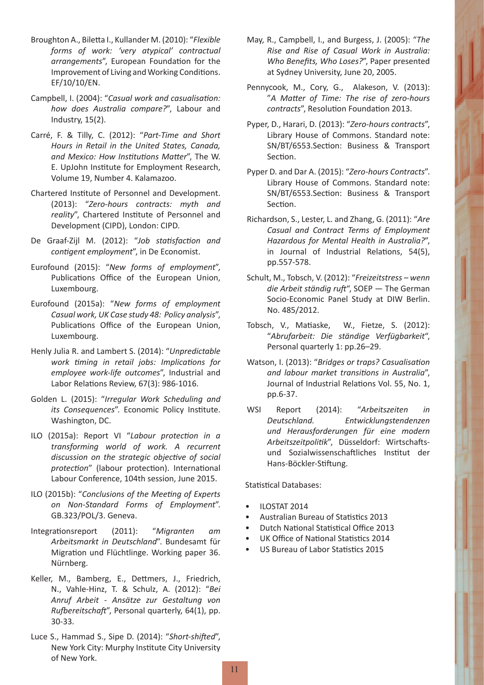- Broughton A., Biletta I., Kullander M. (2010): "*Flexible forms of work: 'very atypical' contractual arrangements*", European Foundation for the Improvement of Living and Working Conditions. EF/10/10/EN.
- Campbell, I. (2004): "*Casual work and casualisation: how does Australia compare?*", Labour and Industry, 15(2).
- Carré, F. & Tilly, C. (2012): "*Part-Time and Short Hours in Retail in the United States, Canada, and Mexico: How Institutions Matter*", The W. E. UpJohn Institute for Employment Research, Volume 19, Number 4. Kalamazoo.
- Chartered Institute of Personnel and Development. (2013): "*Zero-hours contracts: myth and reality*", Chartered Institute of Personnel and Development (CIPD), London: CIPD.
- De Graaf-Zijl M. (2012): "*Job statisfaction and contigent employment*", in De Economist.
- Eurofound (2015): "*New forms of employment*", Publications Office of the European Union, Luxembourg.
- Eurofound (2015a): "*New forms of employment Casual work, UK Case study 48: Policy analysis*", Publications Office of the European Union, Luxembourg.
- Henly Julia R. and Lambert S. (2014): "*Unpredictable work timing in retail jobs: Implications for employee work-life outcomes*", Industrial and Labor Relations Review, 67(3): 986-1016.
- Golden L. (2015): "*Irregular Work Scheduling and its Consequences*". Economic Policy Institute. Washington, DC.
- ILO (2015a): Report VI "*Labour protection in a transforming world of work. A recurrent discussion on the strategic objective of social protection*" (labour protection). International Labour Conference, 104th session, June 2015.
- ILO (2015b): "*Conclusions of the Meeting of Experts on Non-Standard Forms of Employment*". GB.323/POL/3. Geneva.
- Integrationsreport (2011): "*Migranten am Arbeitsmarkt in Deutschland*". Bundesamt für Migration und Flüchtlinge. Working paper 36. Nürnberg.
- Keller, M., Bamberg, E., Dettmers, J., Friedrich, N., Vahle-Hinz, T. & Schulz, A. (2012): "*Bei Anruf Arbeit - Ansätze zur Gestaltung von Rufbereitschaft*", Personal quarterly, 64(1), pp. 30-33.
- Luce S., Hammad S., Sipe D. (2014): "*Short-shifted*", New York City: Murphy Institute City University of New York.
- May, R., Campbell, I., and Burgess, J. (2005): "*The Rise and Rise of Casual Work in Australia: Who Benefits, Who Loses?*", Paper presented at Sydney University, June 20, 2005.
- Pennycook, M., Cory, G., Alakeson, V. (2013): "*A Matter of Time: The rise of zero-hours contracts*", Resolution Foundation 2013.
- Pyper, D., Harari, D. (2013): "*Zero-hours contracts*", Library House of Commons. Standard note: SN/BT/6553.Section: Business & Transport Section.
- Pyper D. and Dar A. (2015): "*Zero-hours Contracts*". Library House of Commons. Standard note: SN/BT/6553.Section: Business & Transport Section.
- Richardson, S., Lester, L. and Zhang, G. (2011): "*Are Casual and Contract Terms of Employment Hazardous for Mental Health in Australia?*", in Journal of Industrial Relations, 54(5), pp.557-578.
- Schult, M., Tobsch, V. (2012): "*Freizeitstress wenn die Arbeit ständig ruft*", SOEP — The German Socio-Economic Panel Study at DIW Berlin. No. 485/2012.
- Tobsch, V., Matiaske, W., Fietze, S. (2012): "*Abrufarbeit: Die ständige Verfügbarkeit*", Personal quarterly 1: pp.26–29.
- Watson, I. (2013): "*Bridges or traps? Casualisation and labour market transitions in Australia*", Journal of Industrial Relations Vol. 55, No. 1, pp.6-37.
- WSI Report (2014): "*Arbeitszeiten in Deutschland. Entwicklungstendenzen und Herausforderungen für eine modern Arbeitszeitpolitik*", Düsseldorf: Wirtschaftsund Sozialwissenschaftliches Institut der Hans-Böckler-Stiftung.

Statistical Databases:

- ILOSTAT 2014
- Australian Bureau of Statistics 2013
- Dutch National Statistical Office 2013
- UK Office of National Statistics 2014
- US Bureau of Labor Statistics 2015